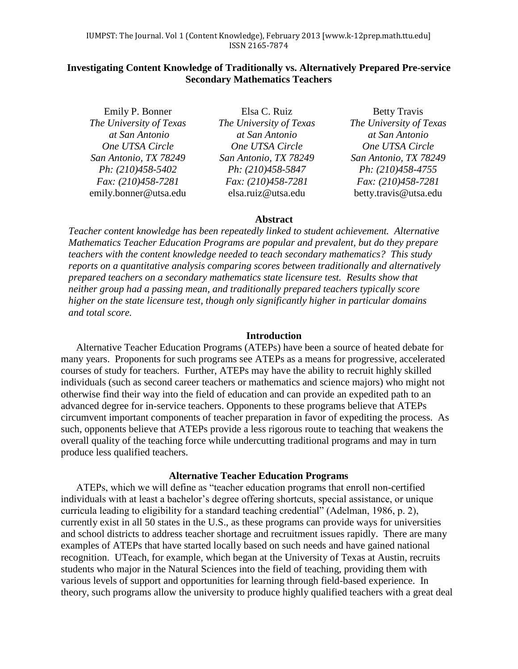# **Investigating Content Knowledge of Traditionally vs. Alternatively Prepared Pre-service Secondary Mathematics Teachers**

Emily P. Bonner *The University of Texas at San Antonio One UTSA Circle San Antonio, TX 78249 Ph: (210)458-5402 Fax: (210)458-7281* [emily.bonner@utsa.edu](mailto:emily.bonner@utsa.edu)

Elsa C. Ruiz *The University of Texas at San Antonio One UTSA Circle San Antonio, TX 78249 Ph: (210)458-5847 Fax: (210)458-7281* [elsa.ruiz@utsa.edu](mailto:elsa.ruiz@utsa.edu)

Betty Travis *The University of Texas at San Antonio One UTSA Circle San Antonio, TX 78249 Ph: (210)458-4755 Fax: (210)458-7281* [betty.travis@utsa.edu](mailto:betty.travis@utsa.edu)

# **Abstract**

*Teacher content knowledge has been repeatedly linked to student achievement. Alternative Mathematics Teacher Education Programs are popular and prevalent, but do they prepare teachers with the content knowledge needed to teach secondary mathematics? This study reports on a quantitative analysis comparing scores between traditionally and alternatively prepared teachers on a secondary mathematics state licensure test. Results show that neither group had a passing mean, and traditionally prepared teachers typically score higher on the state licensure test, though only significantly higher in particular domains and total score.* 

### **Introduction**

Alternative Teacher Education Programs (ATEPs) have been a source of heated debate for many years. Proponents for such programs see ATEPs as a means for progressive, accelerated courses of study for teachers. Further, ATEPs may have the ability to recruit highly skilled individuals (such as second career teachers or mathematics and science majors) who might not otherwise find their way into the field of education and can provide an expedited path to an advanced degree for in-service teachers. Opponents to these programs believe that ATEPs circumvent important components of teacher preparation in favor of expediting the process. As such, opponents believe that ATEPs provide a less rigorous route to teaching that weakens the overall quality of the teaching force while undercutting traditional programs and may in turn produce less qualified teachers.

### **Alternative Teacher Education Programs**

ATEPs, which we will define as "teacher education programs that enroll non-certified individuals with at least a bachelor's degree offering shortcuts, special assistance, or unique curricula leading to eligibility for a standard teaching credential" (Adelman, 1986, p. 2), currently exist in all 50 states in the U.S., as these programs can provide ways for universities and school districts to address teacher shortage and recruitment issues rapidly. There are many examples of ATEPs that have started locally based on such needs and have gained national recognition. UTeach, for example, which began at the University of Texas at Austin, recruits students who major in the Natural Sciences into the field of teaching, providing them with various levels of support and opportunities for learning through field-based experience. In theory, such programs allow the university to produce highly qualified teachers with a great deal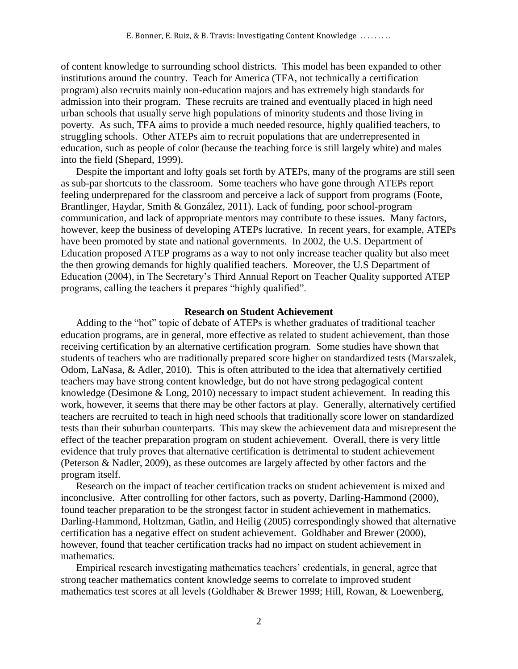of content knowledge to surrounding school districts. This model has been expanded to other institutions around the country. Teach for America (TFA, not technically a certification program) also recruits mainly non-education majors and has extremely high standards for admission into their program. These recruits are trained and eventually placed in high need urban schools that usually serve high populations of minority students and those living in poverty. As such, TFA aims to provide a much needed resource, highly qualified teachers, to struggling schools. Other ATEPs aim to recruit populations that are underrepresented in education, such as people of color (because the teaching force is still largely white) and males into the field (Shepard, 1999).

Despite the important and lofty goals set forth by ATEPs, many of the programs are still seen as sub-par shortcuts to the classroom. Some teachers who have gone through ATEPs report feeling underprepared for the classroom and perceive a lack of support from programs (Foote, Brantlinger, Haydar, Smith & González, 2011). Lack of funding, poor school-program communication, and lack of appropriate mentors may contribute to these issues. Many factors, however, keep the business of developing ATEPs lucrative. In recent years, for example, ATEPs have been promoted by state and national governments. In 2002, the U.S. Department of Education proposed ATEP programs as a way to not only increase teacher quality but also meet the then growing demands for highly qualified teachers. Moreover, the U.S Department of Education (2004), in The Secretary's Third Annual Report on Teacher Quality supported ATEP programs, calling the teachers it prepares "highly qualified".

### **Research on Student Achievement**

Adding to the "hot" topic of debate of ATEPs is whether graduates of traditional teacher education programs, are in general, more effective as related to student achievement, than those receiving certification by an alternative certification program. Some studies have shown that students of teachers who are traditionally prepared score higher on standardized tests (Marszalek, Odom, LaNasa, & Adler, 2010). This is often attributed to the idea that alternatively certified teachers may have strong content knowledge, but do not have strong pedagogical content knowledge (Desimone & Long, 2010) necessary to impact student achievement. In reading this work, however, it seems that there may be other factors at play. Generally, alternatively certified teachers are recruited to teach in high need schools that traditionally score lower on standardized tests than their suburban counterparts. This may skew the achievement data and misrepresent the effect of the teacher preparation program on student achievement. Overall, there is very little evidence that truly proves that alternative certification is detrimental to student achievement (Peterson & Nadler, 2009), as these outcomes are largely affected by other factors and the program itself.

Research on the impact of teacher certification tracks on student achievement is mixed and inconclusive. After controlling for other factors, such as poverty, Darling-Hammond (2000), found teacher preparation to be the strongest factor in student achievement in mathematics. Darling-Hammond, Holtzman, Gatlin, and Heilig (2005) correspondingly showed that alternative certification has a negative effect on student achievement. Goldhaber and Brewer (2000), however, found that teacher certification tracks had no impact on student achievement in mathematics.

Empirical research investigating mathematics teachers' credentials, in general, agree that strong teacher mathematics content knowledge seems to correlate to improved student mathematics test scores at all levels (Goldhaber & Brewer 1999; Hill, Rowan, & Loewenberg,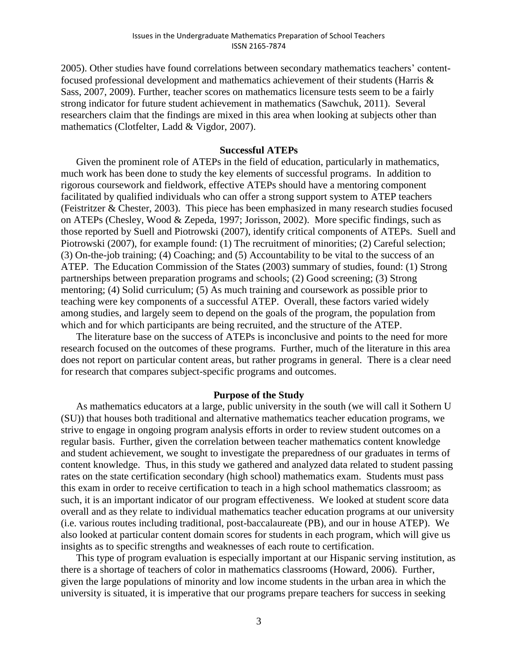2005). Other studies have found correlations between secondary mathematics teachers' contentfocused professional development and mathematics achievement of their students (Harris & Sass, 2007, 2009). Further, teacher scores on mathematics licensure tests seem to be a fairly strong indicator for future student achievement in mathematics (Sawchuk, 2011). Several researchers claim that the findings are mixed in this area when looking at subjects other than mathematics (Clotfelter, Ladd & Vigdor, 2007).

### **Successful ATEPs**

Given the prominent role of ATEPs in the field of education, particularly in mathematics, much work has been done to study the key elements of successful programs. In addition to rigorous coursework and fieldwork, effective ATEPs should have a mentoring component facilitated by qualified individuals who can offer a strong support system to ATEP teachers (Feistritzer & Chester, 2003). This piece has been emphasized in many research studies focused on ATEPs (Chesley, Wood & Zepeda, 1997; Jorisson, 2002). More specific findings, such as those reported by Suell and Piotrowski (2007), identify critical components of ATEPs. Suell and Piotrowski (2007), for example found: (1) The recruitment of minorities; (2) Careful selection; (3) On-the-job training; (4) Coaching; and (5) Accountability to be vital to the success of an ATEP. The Education Commission of the States (2003) summary of studies, found: (1) Strong partnerships between preparation programs and schools; (2) Good screening; (3) Strong mentoring; (4) Solid curriculum; (5) As much training and coursework as possible prior to teaching were key components of a successful ATEP. Overall, these factors varied widely among studies, and largely seem to depend on the goals of the program, the population from which and for which participants are being recruited, and the structure of the ATEP.

The literature base on the success of ATEPs is inconclusive and points to the need for more research focused on the outcomes of these programs. Further, much of the literature in this area does not report on particular content areas, but rather programs in general. There is a clear need for research that compares subject-specific programs and outcomes.

### **Purpose of the Study**

As mathematics educators at a large, public university in the south (we will call it Sothern U (SU)) that houses both traditional and alternative mathematics teacher education programs, we strive to engage in ongoing program analysis efforts in order to review student outcomes on a regular basis. Further, given the correlation between teacher mathematics content knowledge and student achievement, we sought to investigate the preparedness of our graduates in terms of content knowledge. Thus, in this study we gathered and analyzed data related to student passing rates on the state certification secondary (high school) mathematics exam. Students must pass this exam in order to receive certification to teach in a high school mathematics classroom; as such, it is an important indicator of our program effectiveness. We looked at student score data overall and as they relate to individual mathematics teacher education programs at our university (i.e. various routes including traditional, post-baccalaureate (PB), and our in house ATEP). We also looked at particular content domain scores for students in each program, which will give us insights as to specific strengths and weaknesses of each route to certification.

This type of program evaluation is especially important at our Hispanic serving institution, as there is a shortage of teachers of color in mathematics classrooms (Howard, 2006). Further, given the large populations of minority and low income students in the urban area in which the university is situated, it is imperative that our programs prepare teachers for success in seeking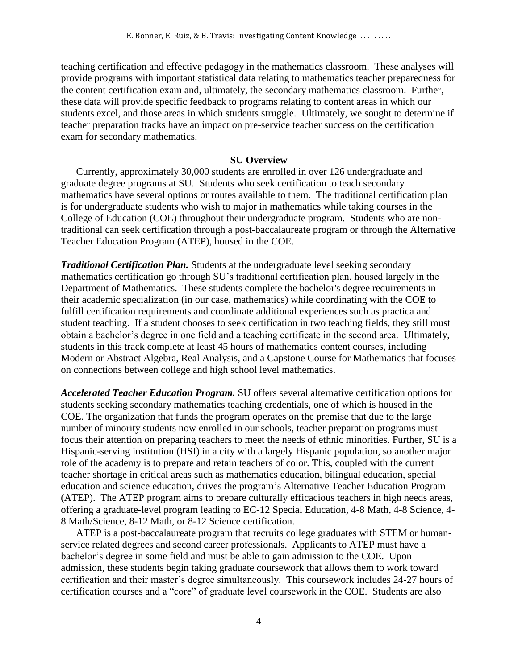teaching certification and effective pedagogy in the mathematics classroom. These analyses will provide programs with important statistical data relating to mathematics teacher preparedness for the content certification exam and, ultimately, the secondary mathematics classroom. Further, these data will provide specific feedback to programs relating to content areas in which our students excel, and those areas in which students struggle. Ultimately, we sought to determine if teacher preparation tracks have an impact on pre-service teacher success on the certification exam for secondary mathematics.

## **SU Overview**

Currently, approximately 30,000 students are enrolled in over 126 undergraduate and graduate degree programs at SU. Students who seek certification to teach secondary mathematics have several options or routes available to them. The traditional certification plan is for undergraduate students who wish to major in mathematics while taking courses in the College of Education (COE) throughout their undergraduate program. Students who are nontraditional can seek certification through a post-baccalaureate program or through the Alternative Teacher Education Program (ATEP), housed in the COE.

*Traditional Certification Plan.* Students at the undergraduate level seeking secondary mathematics certification go through SU's traditional certification plan, housed largely in the Department of Mathematics. These students complete the bachelor's degree requirements in their academic specialization (in our case, mathematics) while coordinating with the COE to fulfill certification requirements and coordinate additional experiences such as practica and student teaching. If a student chooses to seek certification in two teaching fields, they still must obtain a bachelor's degree in one field and a teaching certificate in the second area. Ultimately, students in this track complete at least 45 hours of mathematics content courses, including Modern or Abstract Algebra, Real Analysis, and a Capstone Course for Mathematics that focuses on connections between college and high school level mathematics.

*Accelerated Teacher Education Program.* SU offers several alternative certification options for students seeking secondary mathematics teaching credentials, one of which is housed in the COE. The organization that funds the program operates on the premise that due to the large number of minority students now enrolled in our schools, teacher preparation programs must focus their attention on preparing teachers to meet the needs of ethnic minorities. Further, SU is a Hispanic-serving institution (HSI) in a city with a largely Hispanic population, so another major role of the academy is to prepare and retain teachers of color. This, coupled with the current teacher shortage in critical areas such as mathematics education, bilingual education, special education and science education, drives the program's Alternative Teacher Education Program (ATEP). The ATEP program aims to prepare culturally efficacious teachers in high needs areas, offering a graduate-level program leading to EC-12 Special Education, 4-8 Math, 4-8 Science, 4- 8 Math/Science, 8-12 Math, or 8-12 Science certification.

ATEP is a post-baccalaureate program that recruits college graduates with STEM or humanservice related degrees and second career professionals. Applicants to ATEP must have a bachelor's degree in some field and must be able to gain admission to the COE. Upon admission, these students begin taking graduate coursework that allows them to work toward certification and their master's degree simultaneously. This coursework includes 24-27 hours of certification courses and a "core" of graduate level coursework in the COE. Students are also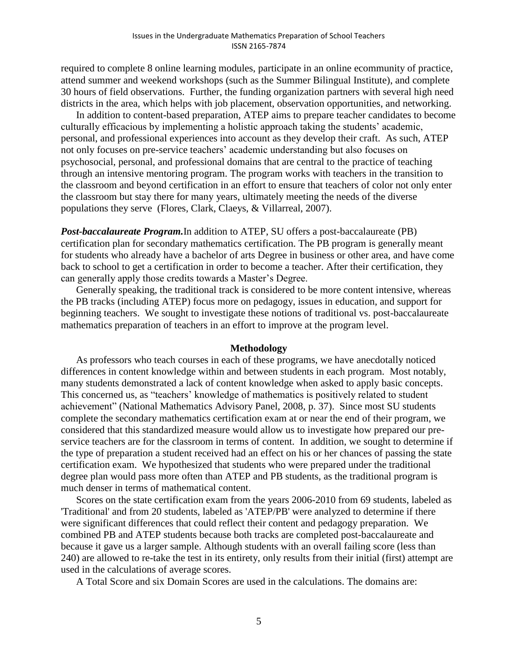required to complete 8 online learning modules, participate in an online ecommunity of practice, attend summer and weekend workshops (such as the Summer Bilingual Institute), and complete 30 hours of field observations. Further, the funding organization partners with several high need districts in the area, which helps with job placement, observation opportunities, and networking.

In addition to content-based preparation, ATEP aims to prepare teacher candidates to become culturally efficacious by implementing a holistic approach taking the students' academic, personal, and professional experiences into account as they develop their craft. As such, ATEP not only focuses on pre-service teachers' academic understanding but also focuses on psychosocial, personal, and professional domains that are central to the practice of teaching through an intensive mentoring program. The program works with teachers in the transition to the classroom and beyond certification in an effort to ensure that teachers of color not only enter the classroom but stay there for many years, ultimately meeting the needs of the diverse populations they serve (Flores, Clark, Claeys, & Villarreal, 2007).

*Post-baccalaureate Program.*In addition to ATEP, SU offers a post-baccalaureate (PB) certification plan for secondary mathematics certification. The PB program is generally meant for students who already have a bachelor of arts Degree in business or other area, and have come back to school to get a certification in order to become a teacher. After their certification, they can generally apply those credits towards a Master's Degree.

Generally speaking, the traditional track is considered to be more content intensive, whereas the PB tracks (including ATEP) focus more on pedagogy, issues in education, and support for beginning teachers. We sought to investigate these notions of traditional vs. post-baccalaureate mathematics preparation of teachers in an effort to improve at the program level.

### **Methodology**

As professors who teach courses in each of these programs, we have anecdotally noticed differences in content knowledge within and between students in each program. Most notably, many students demonstrated a lack of content knowledge when asked to apply basic concepts. This concerned us, as "teachers' knowledge of mathematics is positively related to student achievement" (National Mathematics Advisory Panel, 2008, p. 37). Since most SU students complete the secondary mathematics certification exam at or near the end of their program, we considered that this standardized measure would allow us to investigate how prepared our preservice teachers are for the classroom in terms of content. In addition, we sought to determine if the type of preparation a student received had an effect on his or her chances of passing the state certification exam. We hypothesized that students who were prepared under the traditional degree plan would pass more often than ATEP and PB students, as the traditional program is much denser in terms of mathematical content.

Scores on the state certification exam from the years 2006-2010 from 69 students, labeled as 'Traditional' and from 20 students, labeled as 'ATEP/PB' were analyzed to determine if there were significant differences that could reflect their content and pedagogy preparation. We combined PB and ATEP students because both tracks are completed post-baccalaureate and because it gave us a larger sample. Although students with an overall failing score (less than 240) are allowed to re-take the test in its entirety, only results from their initial (first) attempt are used in the calculations of average scores.

A Total Score and six Domain Scores are used in the calculations. The domains are: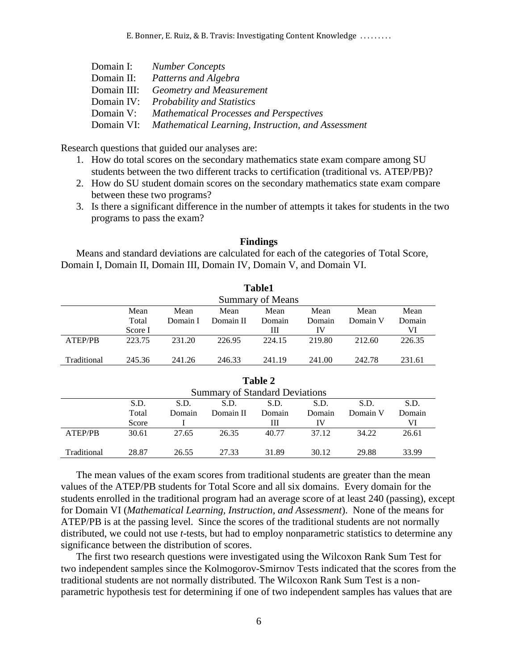E. Bonner, E. Ruiz, & B. Travis: Investigating Content Knowledge . . . . . . . . .

| Domain I:   | <b>Number Concepts</b>                                        |
|-------------|---------------------------------------------------------------|
| Domain II:  | Patterns and Algebra                                          |
| Domain III: | <b>Geometry and Measurement</b>                               |
|             | Domain IV: Probability and Statistics                         |
|             | Domain V: Mathematical Processes and Perspectives             |
|             | Domain VI: Mathematical Learning, Instruction, and Assessment |

Research questions that guided our analyses are:

- 1. How do total scores on the secondary mathematics state exam compare among SU students between the two different tracks to certification (traditional vs. ATEP/PB)?
- 2. How do SU student domain scores on the secondary mathematics state exam compare between these two programs?
- 3. Is there a significant difference in the number of attempts it takes for students in the two programs to pass the exam?

### **Findings**

Means and standard deviations are calculated for each of the categories of Total Score, Domain I, Domain II, Domain III, Domain IV, Domain V, and Domain VI.

|             |         |          |           | <b>Table1</b>           |        |          |        |
|-------------|---------|----------|-----------|-------------------------|--------|----------|--------|
|             |         |          |           | <b>Summary of Means</b> |        |          |        |
|             | Mean    | Mean     | Mean      | Mean                    | Mean   | Mean     | Mean   |
|             | Total   | Domain I | Domain II | Domain                  | Domain | Domain V | Domain |
|             | Score I |          |           | Ш                       | IV     |          | VI     |
| ATEP/PB     | 223.75  | 231.20   | 226.95    | 224.15                  | 219.80 | 212.60   | 226.35 |
| Traditional | 245.36  | 241.26   | 246.33    | 241.19                  | 241.00 | 242.78   | 231.61 |

|                |       |        |                                       | Table 2 |        |          |        |
|----------------|-------|--------|---------------------------------------|---------|--------|----------|--------|
|                |       |        | <b>Summary of Standard Deviations</b> |         |        |          |        |
|                | S.D.  | S.D.   | S.D.                                  | S.D.    | S.D.   | S.D.     | S.D.   |
|                | Total | Domain | Domain II                             | Domain  | Domain | Domain V | Domain |
|                | Score |        |                                       | Ш       | IV     |          | VI     |
| <b>ATEP/PB</b> | 30.61 | 27.65  | 26.35                                 | 40.77   | 37.12  | 34.22    | 26.61  |
| Traditional    | 28.87 | 26.55  | 27.33                                 | 31.89   | 30.12  | 29.88    | 33.99  |

The mean values of the exam scores from traditional students are greater than the mean values of the ATEP/PB students for Total Score and all six domains. Every domain for the students enrolled in the traditional program had an average score of at least 240 (passing), except for Domain VI (*Mathematical Learning, Instruction, and Assessment*). None of the means for ATEP/PB is at the passing level. Since the scores of the traditional students are not normally distributed, we could not use *t*-tests, but had to employ nonparametric statistics to determine any significance between the distribution of scores.

The first two research questions were investigated using the Wilcoxon Rank Sum Test for two independent samples since the Kolmogorov-Smirnov Tests indicated that the scores from the traditional students are not normally distributed. The Wilcoxon Rank Sum Test is a nonparametric hypothesis test for determining if one of two independent samples has values that are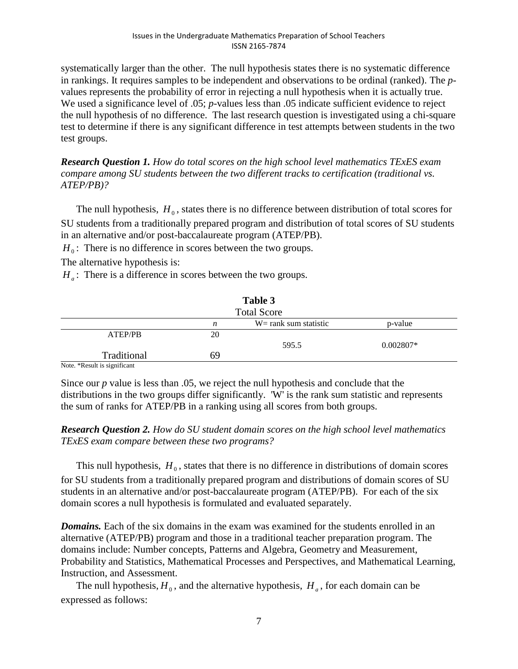systematically larger than the other. The null hypothesis states there is no systematic difference in rankings. It requires samples to be independent and observations to be ordinal (ranked). The *p*values represents the probability of error in rejecting a null hypothesis when it is actually true. We used a significance level of .05; *p*-values less than .05 indicate sufficient evidence to reject the null hypothesis of no difference. The last research question is investigated using a chi-square test to determine if there is any significant difference in test attempts between students in the two test groups.

*Research Question 1. How do total scores on the high school level mathematics TExES exam compare among SU students between the two different tracks to certification (traditional vs. ATEP/PB)?*

The null hypothesis,  $H_0$ , states there is no difference between distribution of total scores for SU students from a traditionally prepared program and distribution of total scores of SU students in an alternative and/or post-baccalaureate program (ATEP/PB).

 $H_0$ : There is no difference in scores between the two groups.

The alternative hypothesis is:

 $H_a$ : There is a difference in scores between the two groups.

|                         |    | Table 3<br><b>Total Score</b> |             |
|-------------------------|----|-------------------------------|-------------|
|                         | n  | $W = rank sum statistic$      | p-value     |
| ATEP/PB                 | 20 |                               |             |
|                         |    | 595.5                         | $0.002807*$ |
| Traditional             | 69 |                               |             |
| Note *Double conificant |    |                               |             |

Note. \*Result is significant

Since our *p* value is less than .05, we reject the null hypothesis and conclude that the distributions in the two groups differ significantly. 'W' is the rank sum statistic and represents the sum of ranks for ATEP/PB in a ranking using all scores from both groups.

*Research Question 2. How do SU student domain scores on the high school level mathematics TExES exam compare between these two programs?*

This null hypothesis,  $H_0$ , states that there is no difference in distributions of domain scores for SU students from a traditionally prepared program and distributions of domain scores of SU students in an alternative and/or post-baccalaureate program (ATEP/PB). For each of the six domain scores a null hypothesis is formulated and evaluated separately.

*Domains.* Each of the six domains in the exam was examined for the students enrolled in an alternative (ATEP/PB) program and those in a traditional teacher preparation program. The domains include: Number concepts, Patterns and Algebra, Geometry and Measurement, Probability and Statistics, Mathematical Processes and Perspectives, and Mathematical Learning, Instruction, and Assessment.

The null hypothesis,  $H_0$ , and the alternative hypothesis,  $H_a$ , for each domain can be expressed as follows: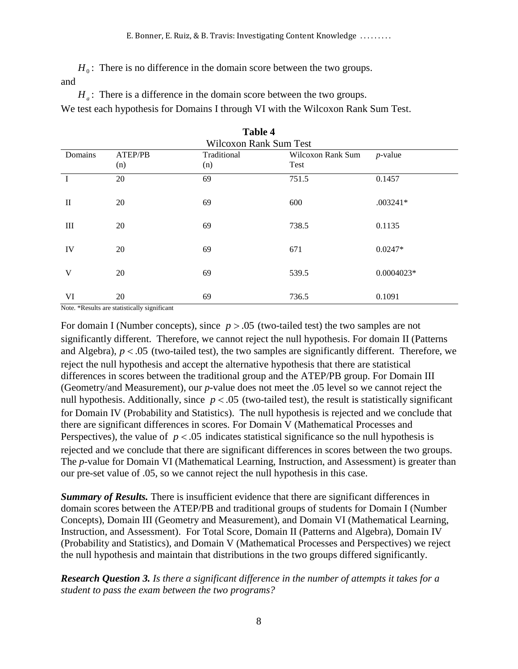$H_0$ : There is no difference in the domain score between the two groups. and

 $H_a$ : There is a difference in the domain score between the two groups.

We test each hypothesis for Domains I through VI with the Wilcoxon Rank Sum Test.

|              | $\mathbf{1}$ uvit $\mathbf{1}$<br><b>Wilcoxon Rank Sum Test</b> |                    |                           |            |  |  |  |  |
|--------------|-----------------------------------------------------------------|--------------------|---------------------------|------------|--|--|--|--|
| Domains      | ATEP/PB<br>(n)                                                  | Traditional<br>(n) | Wilcoxon Rank Sum<br>Test | $p$ -value |  |  |  |  |
|              | 20                                                              | 69                 | 751.5                     | 0.1457     |  |  |  |  |
| $\mathbf{I}$ | 20                                                              | 69                 | 600                       | $.003241*$ |  |  |  |  |
| Ш            | 20                                                              | 69                 | 738.5                     | 0.1135     |  |  |  |  |
| IV           | 20                                                              | 69                 | 671                       | $0.0247*$  |  |  |  |  |
| V            | 20                                                              | 69                 | 539.5                     | 0.0004023* |  |  |  |  |
| VI           | 20                                                              | 69                 | 736.5                     | 0.1091     |  |  |  |  |

| Table 4                |
|------------------------|
| Wilcoxon Rank Sum Test |

Note. \*Results are statistically significant

For domain I (Number concepts), since  $p > .05$  (two-tailed test) the two samples are not significantly different. Therefore, we cannot reject the null hypothesis. For domain II (Patterns and Algebra),  $p < .05$  (two-tailed test), the two samples are significantly different. Therefore, we reject the null hypothesis and accept the alternative hypothesis that there are statistical differences in scores between the traditional group and the ATEP/PB group. For Domain III (Geometry/and Measurement), our *p*-value does not meet the .05 level so we cannot reject the null hypothesis. Additionally, since  $p < .05$  (two-tailed test), the result is statistically significant for Domain IV (Probability and Statistics). The null hypothesis is rejected and we conclude that there are significant differences in scores. For Domain V (Mathematical Processes and Perspectives), the value of  $p < .05$  indicates statistical significance so the null hypothesis is rejected and we conclude that there are significant differences in scores between the two groups. The *p*-value for Domain VI (Mathematical Learning, Instruction, and Assessment) is greater than our pre-set value of .05, so we cannot reject the null hypothesis in this case.

*Summary of Results.* There is insufficient evidence that there are significant differences in domain scores between the ATEP/PB and traditional groups of students for Domain I (Number Concepts), Domain III (Geometry and Measurement), and Domain VI (Mathematical Learning, Instruction, and Assessment). For Total Score, Domain II (Patterns and Algebra), Domain IV (Probability and Statistics), and Domain V (Mathematical Processes and Perspectives) we reject the null hypothesis and maintain that distributions in the two groups differed significantly.

*Research Question 3. Is there a significant difference in the number of attempts it takes for a student to pass the exam between the two programs?*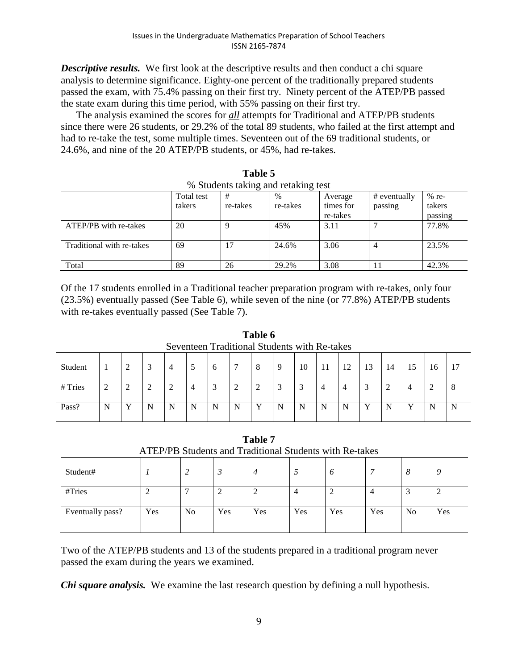**Descriptive results.** We first look at the descriptive results and then conduct a chi square analysis to determine significance. Eighty-one percent of the traditionally prepared students passed the exam, with 75.4% passing on their first try. Ninety percent of the ATEP/PB passed the state exam during this time period, with 55% passing on their first try.

The analysis examined the scores for *all* attempts for Traditional and ATEP/PB students since there were 26 students, or 29.2% of the total 89 students, who failed at the first attempt and had to re-take the test, some multiple times. Seventeen out of the 69 traditional students, or 24.6%, and nine of the 20 ATEP/PB students, or 45%, had re-takes.

**Table 5**

| % Students taking and retaking test |            |          |          |           |              |         |  |
|-------------------------------------|------------|----------|----------|-----------|--------------|---------|--|
|                                     | Total test | #        | $\%$     | Average   | # eventually | $%$ re- |  |
|                                     | takers     | re-takes | re-takes | times for | passing      | takers  |  |
|                                     |            |          |          | re-takes  |              | passing |  |
| ATEP/PB with re-takes               | 20         | Q        | 45%      | 3.11      |              | 77.8%   |  |
| Traditional with re-takes           | 69         | 17       | 24.6%    | 3.06      |              | 23.5%   |  |
| Total                               | 89         | 26       | 29.2%    | 3.08      |              | 42.3%   |  |

Of the 17 students enrolled in a Traditional teacher preparation program with re-takes, only four (23.5%) eventually passed (See Table 6), while seven of the nine (or 77.8%) ATEP/PB students with re-takes eventually passed (See Table 7).

|         |   |   |   |                |   |   | 1 avit v |   |    |                                              |                |    |    |                |             |   |
|---------|---|---|---|----------------|---|---|----------|---|----|----------------------------------------------|----------------|----|----|----------------|-------------|---|
|         |   |   |   |                |   |   |          |   |    | Seventeen Traditional Students with Re-takes |                |    |    |                |             |   |
| Student |   |   | 4 | 5              | 6 |   | 8        | 9 | 10 | 11                                           | 12             | 13 | 14 | 15             | 16          |   |
| # Tries | ◠ |   |   | $\overline{4}$ | 3 | 2 | 2        | 3 | 3  | 4                                            | $\overline{4}$ |    | 2  | $\overline{4}$ |             | 8 |
| Pass?   | N | N | N | N              | N | N | Y        | N | N  | N                                            | N              | v  | N  | v              | $\mathbf N$ | N |

**Table 6**

|          |                                                         |  | Table 7 |  |  |  |
|----------|---------------------------------------------------------|--|---------|--|--|--|
|          | ATEP/PB Students and Traditional Students with Re-takes |  |         |  |  |  |
| Student# |                                                         |  |         |  |  |  |

| SU(10)           |     | <u>.</u>       | ◡   | 4   |     | ο   |     | $\circ$        |     |
|------------------|-----|----------------|-----|-----|-----|-----|-----|----------------|-----|
| #Tries           |     |                | ∽   | ∼   |     | ∸   |     |                |     |
| Eventually pass? | Yes | N <sub>0</sub> | Yes | Yes | Yes | Yes | Yes | N <sub>0</sub> | Yes |

Two of the ATEP/PB students and 13 of the students prepared in a traditional program never passed the exam during the years we examined.

*Chi square analysis.*We examine the last research question by defining a null hypothesis.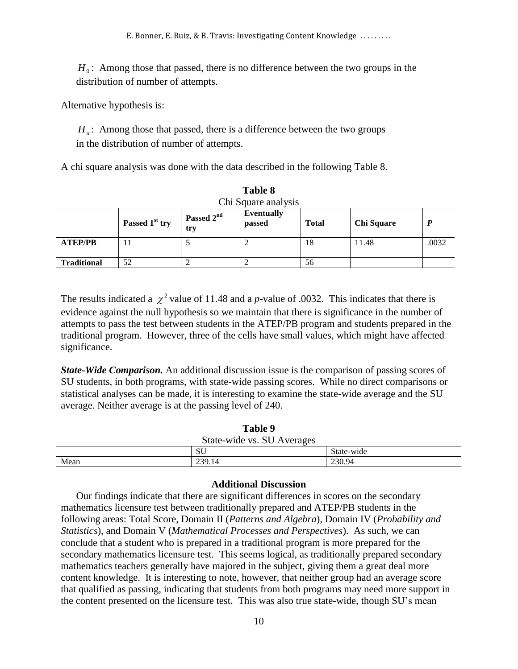E. Bonner, E. Ruiz, & B. Travis: Investigating Content Knowledge . . . . . . . . .

 $H_0$ : Among those that passed, there is no difference between the two groups in the distribution of number of attempts.

Alternative hypothesis is:

*H<sub>a</sub>*: Among those that passed, there is a difference between the two groups in the distribution of number of attempts.

A chi square analysis was done with the data described in the following Table 8.

|                    |                            |                               | <b>Lavic</b> o              |              |                   |       |
|--------------------|----------------------------|-------------------------------|-----------------------------|--------------|-------------------|-------|
|                    |                            |                               | Chi Square analysis         |              |                   |       |
|                    | Passed 1 <sup>st</sup> try | Passed 2 <sup>nd</sup><br>try | <b>Eventually</b><br>passed | <b>Total</b> | <b>Chi Square</b> | P     |
| <b>ATEP/PB</b>     | 11                         |                               |                             | 18           | 11.48             | .0032 |
| <b>Traditional</b> | 52                         |                               |                             | 56           |                   |       |

| Table 8             |
|---------------------|
| Chi Square analysis |
|                     |

The results indicated a  $\chi^2$  value of 11.48 and a *p*-value of .0032. This indicates that there is evidence against the null hypothesis so we maintain that there is significance in the number of attempts to pass the test between students in the ATEP/PB program and students prepared in the traditional program. However, three of the cells have small values, which might have affected significance.

*State-Wide Comparison.* An additional discussion issue is the comparison of passing scores of SU students, in both programs, with state-wide passing scores. While no direct comparisons or statistical analyses can be made, it is interesting to examine the state-wide average and the SU average. Neither average is at the passing level of 240.

| Table 9                    |        |            |
|----------------------------|--------|------------|
| State-wide vs. SU Averages |        |            |
|                            | SU     | State-wide |
| Mean                       | 239.14 | 230.94     |

### **Additional Discussion**

 $H_0$ : Among those that passed, there is no diffisiribution of number of attempts.<br>
mative hypothesis is:<br>  $H_a$ : Among those that passed, there is a different in the distribution of number of attempts.<br>
in a distribution Our findings indicate that there are significant differences in scores on the secondary mathematics licensure test between traditionally prepared and ATEP/PB students in the following areas: Total Score, Domain II (*Patterns and Algebra*), Domain IV (*Probability and Statistics*), and Domain V (*Mathematical Processes and Perspectives*). As such, we can conclude that a student who is prepared in a traditional program is more prepared for the secondary mathematics licensure test. This seems logical, as traditionally prepared secondary mathematics teachers generally have majored in the subject, giving them a great deal more content knowledge. It is interesting to note, however, that neither group had an average score that qualified as passing, indicating that students from both programs may need more support in the content presented on the licensure test. This was also true state-wide, though SU's mean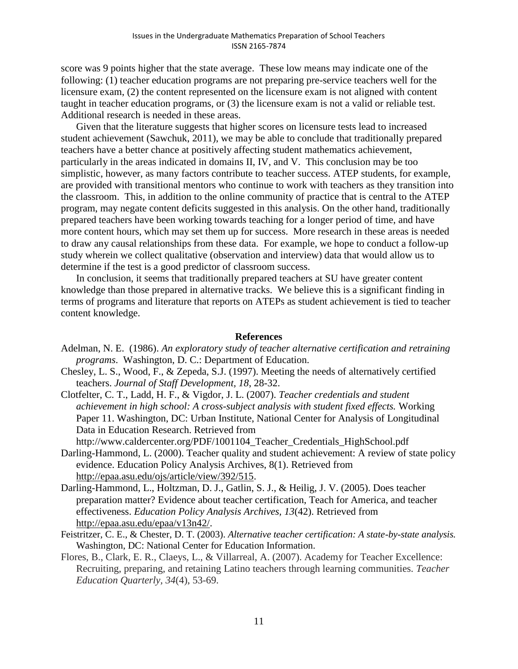score was 9 points higher that the state average. These low means may indicate one of the following: (1) teacher education programs are not preparing pre-service teachers well for the licensure exam, (2) the content represented on the licensure exam is not aligned with content taught in teacher education programs, or (3) the licensure exam is not a valid or reliable test. Additional research is needed in these areas.

Given that the literature suggests that higher scores on licensure tests lead to increased student achievement (Sawchuk, 2011), we may be able to conclude that traditionally prepared teachers have a better chance at positively affecting student mathematics achievement, particularly in the areas indicated in domains II, IV, and V. This conclusion may be too simplistic, however, as many factors contribute to teacher success. ATEP students, for example, are provided with transitional mentors who continue to work with teachers as they transition into the classroom. This, in addition to the online community of practice that is central to the ATEP program, may negate content deficits suggested in this analysis. On the other hand, traditionally prepared teachers have been working towards teaching for a longer period of time, and have more content hours, which may set them up for success. More research in these areas is needed to draw any causal relationships from these data. For example, we hope to conduct a follow-up study wherein we collect qualitative (observation and interview) data that would allow us to determine if the test is a good predictor of classroom success.

In conclusion, it seems that traditionally prepared teachers at SU have greater content knowledge than those prepared in alternative tracks. We believe this is a significant finding in terms of programs and literature that reports on ATEPs as student achievement is tied to teacher content knowledge.

### **References**

- Adelman, N. E. (1986). *An exploratory study of teacher alternative certification and retraining programs*. Washington, D. C.: Department of Education.
- Chesley, L. S., Wood, F., & Zepeda, S.J. (1997). Meeting the needs of alternatively certified teachers. *Journal of Staff Development, 18*, 28-32.
- Clotfelter, C. T., Ladd, H. F., & Vigdor, J. L. (2007). *Teacher credentials and student achievement in high school: A cross-subject analysis with student fixed effects.* Working Paper 11. Washington, DC: Urban Institute, National Center for Analysis of Longitudinal Data in Education Research. Retrieved from [http://www.caldercenter.org/PDF/1001104\\_Teacher\\_Credentials\\_HighSchool.pdf](http://www.caldercenter.org/PDF/1001104_Teacher_Credentials_HighSchool.pdf)
- Darling-Hammond, L. (2000). Teacher quality and student achievement: A review of state policy evidence. Education Policy Analysis Archives, 8(1). Retrieved from [http://epaa.asu.edu/ojs/article/view/392/515.](http://epaa.asu.edu/ojs/article/view/392/515)
- Darling-Hammond, L., Holtzman, D. J., Gatlin, S. J., & Heilig, J. V. (2005). Does teacher preparation matter? Evidence about teacher certification, Teach for America, and teacher effectiveness. *Education Policy Analysis Archives, 13*(42). Retrieved from [http://epaa.asu.edu/epaa/v13n42/.](http://epaa.asu.edu/epaa/v13n42/)

Feistritzer, C. E., & Chester, D. T. (2003). *Alternative teacher certification: A state-by-state analysis.*  Washington, DC: National Center for Education Information.

Flores, B., Clark, E. R., Claeys, L., & Villarreal, A. (2007). Academy for Teacher Excellence: Recruiting, preparing, and retaining Latino teachers through learning communities. *Teacher Education Quarterly, 34*(4), 53-69.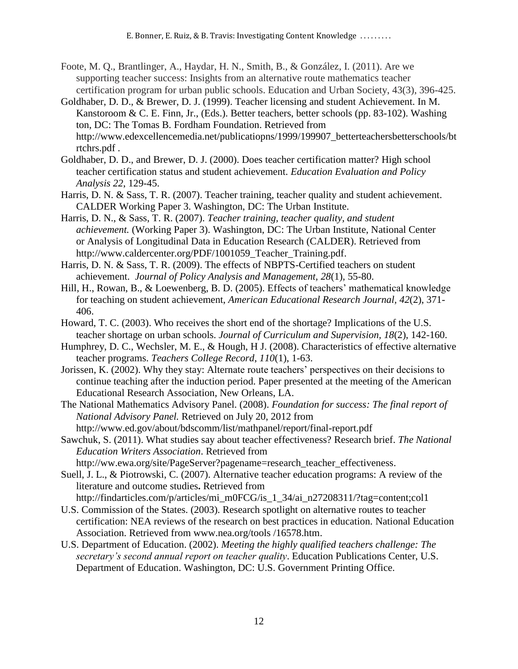- Foote, M. Q., Brantlinger, A., Haydar, H. N., Smith, B., & González, I. (2011). Are we supporting teacher success: Insights from an alternative route mathematics teacher certification program for urban public schools. Education and Urban Society, 43(3), 396-425.
- Goldhaber, D. D., & Brewer, D. J. (1999). Teacher licensing and student Achievement. In M. Kanstoroom & C. E. Finn, Jr., (Eds.). Better teachers, better schools (pp. 83-102). Washing ton, DC: The Tomas B. Fordham Foundation. Retrieved from [http://www.edexcellencemedia.net/publicatiopns/1999/199907\\_betterteachersbetterschools/bt](http://www.edexcellencemedia.net/publicatiopns/1999/199907_betterteachersbetterschools/btrtchrs.pdf) [rtchrs.pdf](http://www.edexcellencemedia.net/publicatiopns/1999/199907_betterteachersbetterschools/btrtchrs.pdf) .
- Goldhaber, D. D., and Brewer, D. J. (2000). Does teacher certification matter? High school teacher certification status and student achievement. *Education Evaluation and Policy Analysis 22*, 129-45.
- Harris, D. N. & Sass, T. R. (2007). Teacher training, teacher quality and student achievement. CALDER Working Paper 3. Washington, DC: The Urban Institute.
- Harris, D. N., & Sass, T. R. (2007). *Teacher training, teacher quality, and student achievement.* (Working Paper 3). Washington, DC: The Urban Institute, National Center or Analysis of Longitudinal Data in Education Research (CALDER). Retrieved from [http://www.caldercenter.org/PDF/1001059\\_Teacher\\_Training.pdf.](http://www.caldercenter.org/PDF/1001059_Teacher_Training.pdf)
- Harris, D. N. & Sass, T. R. (2009). The effects of NBPTS-Certified teachers on student achievement. *Journal of Policy Analysis and Management, 28*(1), 55-80.
- Hill, H., Rowan, B., & Loewenberg, B. D. (2005). Effects of teachers' mathematical knowledge for teaching on student achievement, *American Educational Research Journal, 42*(2), 371- 406.
- Howard, T. C. (2003). Who receives the short end of the shortage? Implications of the U.S. teacher shortage on urban schools. *Journal of Curriculum and Supervision, 18*(2), 142-160.
- Humphrey, D. C., Wechsler, M. E., & Hough, H J. (2008). Characteristics of effective alternative teacher programs. *Teachers College Record*, *110*(1), 1-63.
- Jorissen, K. (2002). Why they stay: Alternate route teachers' perspectives on their decisions to continue teaching after the induction period. Paper presented at the meeting of the American Educational Research Association, New Orleans, LA.
- The National Mathematics Advisory Panel. (2008). *Foundation for success: The final report of National Advisory Panel.* Retrieved on July 20, 2012 from http://www.ed.gov/about/bdscomm/list/mathpanel/report/final-report.pdf
- Sawchuk, S. (2011). What studies say about teacher effectiveness? Research brief. *The National Education Writers Association*. Retrieved from [http://ww.ewa.org/site/PageServer?pagename=research\\_teacher\\_effectiveness.](http://ww.ewa.org/site/PageServer?pagename=research_teacher_effectiveness)
- Suell, J. L., & Piotrowski, C. (2007). Alternative teacher education programs: A review of the literature and outcome studies**.** Retrieved from http://findarticles.com/p/articles/mi\_m0FCG/is\_1\_34/ai\_n27208311/?tag=content;col1
- U.S. Commission of the States. (2003). Research spotlight on alternative routes to teacher certification: NEA reviews of the research on best practices in education. National Education Association. Retrieved from [www.nea.org/tools /16578.htm.](http://www.nea.org/tools%20/16578.htm)
- U.S. Department of Education. (2002). *Meeting the highly qualified teachers challenge: The secretary's second annual report on teacher quality*. Education Publications Center, U.S. Department of Education. Washington, DC: U.S. Government Printing Office.